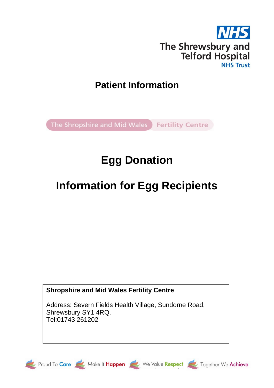

# **Patient Information**

The Shropshire and Mid Wales Fertility Centre

# **Egg Donation**

# **Information for Egg Recipients**

# **Shropshire and Mid Wales Fertility Centre**

Address: Severn Fields Health Village, Sundorne Road, Shrewsbury SY1 4RQ. Tel:01743 261202





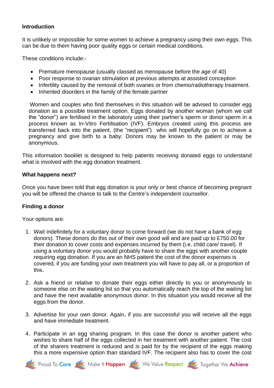#### **Introduction**

It is unlikely or impossible for some women to achieve a pregnancy using their own eggs. This can be due to them having poor quality eggs or certain medical conditions.

These conditions include:-

- Premature menopause (usually classed as menopause before the age of 40)
- Poor response to ovarian stimulation at previous attempts at assisted conception
- Infertility caused by the removal of both ovaries or from chemo/radiotherapy treatment.
- Inherited disorders in the family of the female partner

 Women and couples who find themselves in this situation will be advised to consider egg donation as a possible treatment option. Eggs donated by another woman (whom we call the "donor") are fertilised in the laboratory using their partner's sperm or donor sperm in a process known as In-Vitro Fertilisation (IVF). Embryos created using this process are transferred back into the patient, (the "recipient") who will hopefully go on to achieve a pregnancy and give birth to a baby. Donors may be known to the patient or may be anonymous.

This information booklet is designed to help patients receiving donated eggs to understand what is involved with the egg donation treatment.

#### **What happens next?**

Once you have been told that egg donation is your only or best chance of becoming pregnant you will be offered the chance to talk to the Centre's independent counsellor.

# **Finding a donor**

Your options are:

- 1. Wait indefinitely for a voluntary donor to come forward (we do not have a bank of egg donors). These donors do this out of their own good will and are paid up to £750.00 for their donation to cover costs and expenses incurred by them (i.e. child care/ travel). If using a voluntary donor you would probably have to share the eggs with another couple requiring egg donation. If you are an NHS patient the cost of the donor expenses is covered, if you are funding your own treatment you will have to pay all, or a proportion of this.
- 2. Ask a friend or relative to donate their eggs either directly to you or anonymously to someone else on the waiting list so that you automatically reach the top of the waiting list and have the next available anonymous donor. In this situation you would receive all the eggs from the donor.
- 3. Advertise for your own donor. Again, if you are successful you will receive all the eggs and have immediate treatment.
- 4. Participate in an egg sharing program. In this case the donor is another patient who wishes to share half of the eggs collected in her treatment with another patient. The cost of the sharers treatment is reduced and is paid for by the recipient of the eggs making this a more expensive option than standard IVF. The recipient also has to cover the cost





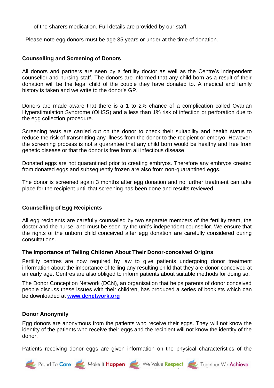of the sharers medication. Full details are provided by our staff.

Please note egg donors must be age 35 years or under at the time of donation.

#### **Counselling and Screening of Donors**

All donors and partners are seen by a fertility doctor as well as the Centre's independent counsellor and nursing staff. The donors are informed that any child born as a result of their donation will be the legal child of the couple they have donated to. A medical and family history is taken and we write to the donor's GP.

Donors are made aware that there is a 1 to 2% chance of a complication called Ovarian Hyperstimulation Syndrome (OHSS) and a less than 1% risk of infection or perforation due to the egg collection procedure.

Screening tests are carried out on the donor to check their suitability and health status to reduce the risk of transmitting any illness from the donor to the recipient or embryo. However, the screening process is not a guarantee that any child born would be healthy and free from genetic disease or that the donor is free from all infectious disease.

Donated eggs are not quarantined prior to creating embryos. Therefore any embryos created from donated eggs and subsequently frozen are also from non-quarantined eggs.

The donor is screened again 3 months after egg donation and no further treatment can take place for the recipient until that screening has been done and results reviewed.

# **Counselling of Egg Recipients**

All egg recipients are carefully counselled by two separate members of the fertility team, the doctor and the nurse, and must be seen by the unit's independent counsellor. We ensure that the rights of the unborn child conceived after egg donation are carefully considered during consultations.

#### **The Importance of Telling Children About Their Donor-conceived Origins**

Fertility centres are now required by law to give patients undergoing donor treatment information about the importance of telling any resulting child that they are donor-conceived at an early age. Centres are also obliged to inform patients about suitable methods for doing so.

The Donor Conception Network (DCN), an organisation that helps parents of donor conceived people discuss these issues with their children, has produced a series of booklets which can be downloaded at **www.dcnetwork.org**

#### **Donor Anonymity**

Egg donors are anonymous from the patients who receive their eggs. They will not know the identity of the patients who receive their eggs and the recipient will not know the identity of the donor.

Patients receiving donor eggs are given information on the physical characteristics of the

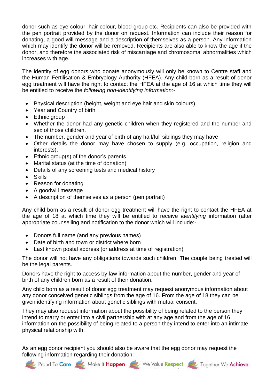donor such as eye colour, hair colour, blood group etc. Recipients can also be provided with the pen portrait provided by the donor on request. Information can include their reason for donating, a good will message and a description of themselves as a person. Any information which may identify the donor will be removed. Recipients are also able to know the age if the donor, and therefore the associated risk of miscarriage and chromosomal abnormalities which increases with age.

The identity of egg donors who donate anonymously will only be known to Centre staff and the Human Fertilisation & Embryology Authority (HFEA). Any child born as a result of donor egg treatment will have the right to contact the HFEA at the age of 16 at which time they will be entitled to receive the *following non-identifying information:-*

- Physical description (height, weight and eye hair and skin colours)
- Year and Country of birth
- Ethnic group
- Whether the donor had any genetic children when they registered and the number and sex of those children.
- The number, gender and year of birth of any half/full siblings they may have
- Other details the donor may have chosen to supply (e.g. occupation, religion and interests).
- Ethnic group(s) of the donor's parents
- Marital status (at the time of donation)
- Details of any screening tests and medical history
- Skills
- Reason for donating
- A goodwill message
- A description of themselves as a person (pen portrait)

Any child born as a result of donor egg treatment will have the right to contact the HFEA at the age of 18 at which time they will be entitled to receive *identifying* information (after appropriate counselling and notification to the donor which will include:-

- Donors full name (and any previous names)
- Date of birth and town or district where born
- Last known postal address (or address at time of registration)

The donor will not have any obligations towards such children. The couple being treated will be the legal parents.

Donors have the right to access by law information about the number, gender and year of birth of any children born as a result of their donation.

Any child born as a result of donor egg treatment may request anonymous information about any donor conceived genetic siblings from the age of 16. From the age of 18 they can be given identifying information about genetic siblings with mutual consent.

They may also request information about the possibility of being related to the person they intend to marry or enter into a civil partnership with at any age and from the age of 16 information on the possibility of being related to a person they intend to enter into an intimate physical relationship with.

As an egg donor recipient you should also be aware that the egg donor may request the following information regarding their donation:







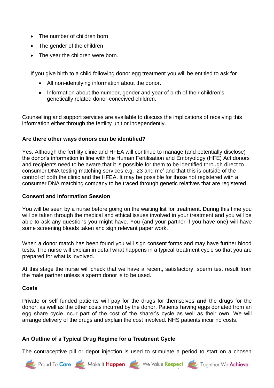- The number of children born
- The gender of the children
- The year the children were born.

If you give birth to a child following donor egg treatment you will be entitled to ask for

- All non-identifying information about the donor.
- Information about the number, gender and year of birth of their children's genetically related donor-conceived children.

Counselling and support services are available to discuss the implications of receiving this information either through the fertility unit or independently.

# **Are there other ways donors can be identified?**

Yes. Although the fertility clinic and HFEA will continue to manage (and potentially disclose) the donor's information in line with the Human Fertilisation and Embryology (HFE) Act donors and recipients need to be aware that it is possible for them to be identified through direct to consumer DNA testing matching services e.g. '23 and me' and that this is outside of the control of both the clinic and the HFEA. It may be possible for those not registered with a consumer DNA matching company to be traced through genetic relatives that are registered.

# **Consent and Information Session**

You will be seen by a nurse before going on the waiting list for treatment. During this time you will be taken through the medical and ethical issues involved in your treatment and you will be able to ask any questions you might have. You (and your partner if you have one) will have some screening bloods taken and sign relevant paper work.

When a donor match has been found you will sign consent forms and may have further blood tests. The nurse will explain in detail what happens in a typical treatment cycle so that you are prepared for what is involved.

At this stage the nurse will check that we have a recent, satisfactory, sperm test result from the male partner unless a sperm donor is to be used.

# **Costs**

Private or self funded patients will pay for the drugs for themselves **and** the drugs for the donor, as well as the other costs incurred by the donor. Patients having eggs donated from an egg share cycle incur part of the cost of the sharer's cycle as well as their own. We will arrange delivery of the drugs and explain the cost involved. NHS patients incur no costs.

# **An Outline of a Typical Drug Regime for a Treatment Cycle**

The contraceptive pill or depot injection is used to stimulate a period to start on a chosen

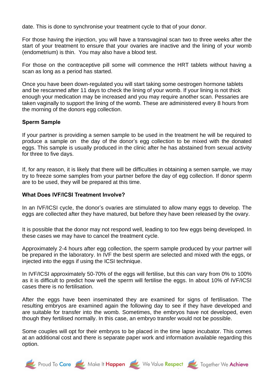date. This is done to synchronise your treatment cycle to that of your donor.

For those having the injection, you will have a transvaginal scan two to three weeks after the start of your treatment to ensure that your ovaries are inactive and the lining of your womb (endometrium) is thin. You may also have a blood test.

For those on the contraceptive pill some will commence the HRT tablets without having a scan as long as a period has started.

Once you have been down-regulated you will start taking some oestrogen hormone tablets and be rescanned after 11 days to check the lining of your womb. If your lining is not thick enough your medication may be increased and you may require another scan. Pessaries are taken vaginally to support the lining of the womb. These are administered every 8 hours from the morning of the donors egg collection.

#### **Sperm Sample**

If your partner is providing a semen sample to be used in the treatment he will be required to produce a sample on the day of the donor's egg collection to be mixed with the donated eggs. This sample is usually produced in the clinic after he has abstained from sexual activity for three to five days.

If, for any reason, it is likely that there will be difficulties in obtaining a semen sample, we may try to freeze some samples from your partner before the day of egg collection. If donor sperm are to be used, they will be prepared at this time.

#### **What Does IVF/ICSI Treatment Involve?**

In an IVF/ICSI cycle, the donor's ovaries are stimulated to allow many eggs to develop. The eggs are collected after they have matured, but before they have been released by the ovary.

It is possible that the donor may not respond well, leading to too few eggs being developed. In these cases we may have to cancel the treatment cycle.

Approximately 2-4 hours after egg collection, the sperm sample produced by your partner will be prepared in the laboratory. In IVF the best sperm are selected and mixed with the eggs, or injected into the eggs if using the ICSI technique.

In IVF/ICSI approximately 50-70% of the eggs will fertilise, but this can vary from 0% to 100% as it is difficult to predict how well the sperm will fertilise the eggs. In about 10% of IVF/ICSI cases there is no fertilisation.

After the eggs have been inseminated they are examined for signs of fertilisation. The resulting embryos are examined again the following day to see if they have developed and are suitable for transfer into the womb. Sometimes, the embryos have not developed, even though they fertilised normally. In this case, an embryo transfer would not be possible.

Some couples will opt for their embryos to be placed in the time lapse incubator. This comes at an additional cost and there is separate paper work and information available regarding this option.

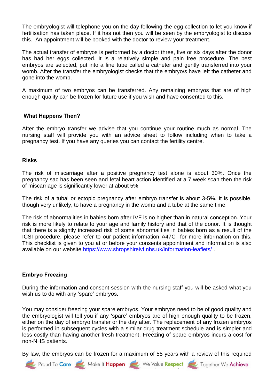The embryologist will telephone you on the day following the egg collection to let you know if fertilisation has taken place. If it has not then you will be seen by the embryologist to discuss this. An appointment will be booked with the doctor to review your treatment.

The actual transfer of embryos is performed by a doctor three, five or six days after the donor has had her eggs collected. It is a relatively simple and pain free procedure. The best embryos are selected, put into a fine tube called a catheter and gently transferred into your womb. After the transfer the embryologist checks that the embryo/s have left the catheter and gone into the womb.

A maximum of two embryos can be transferred. Any remaining embryos that are of high enough quality can be frozen for future use if you wish and have consented to this.

#### **What Happens Then?**

After the embryo transfer we advise that you continue your routine much as normal. The nursing staff will provide you with an advice sheet to follow including when to take a pregnancy test. If you have any queries you can contact the fertility centre.

#### **Risks**

The risk of miscarriage after a positive pregnancy test alone is about 30%. Once the pregnancy sac has been seen and fetal heart action identified at a 7 week scan then the risk of miscarriage is significantly lower at about 5%.

The risk of a tubal or ectopic pregnancy after embryo transfer is about 3-5%. It is possible, though very unlikely, to have a pregnancy in the womb and a tube at the same time.

The risk of abnormalities in babies born after IVF is no higher than in natural conception. Your risk is more likely to relate to your age and family history and that of the donor. It is thought that there is a slightly increased risk of some abnormalities in babies born as a result of the ICSI procedure, please refer to our patient information A47C for more information on this. This checklist is given to you at or before your consents appointment and information is also available on our website<https://www.shropshireivf.nhs.uk/information-leaflets/>.

#### **Embryo Freezing**

During the information and consent session with the nursing staff you will be asked what you wish us to do with any 'spare' embryos.

You may consider freezing your spare embryos. Your embryos need to be of good quality and the embryologist will tell you if any 'spare' embryos are of high enough quality to be frozen, either on the day of embryo transfer or the day after. The replacement of any frozen embryos is performed in subsequent cycles with a similar drug treatment schedule and is simpler and less costly than having another fresh treatment. Freezing of spare embryos incurs a cost for non-NHS patients.

By law, the embryos can be frozen for a maximum of 55 years with a review of this required





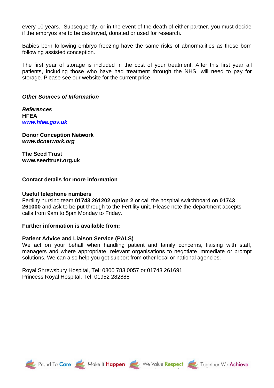every 10 years. Subsequently, or in the event of the death of either partner, you must decide if the embryos are to be destroyed, donated or used for research.

Babies born following embryo freezing have the same risks of abnormalities as those born following assisted conception.

The first year of storage is included in the cost of your treatment. After this first year all patients, including those who have had treatment through the NHS, will need to pay for storage. Please see our website for the current price.

#### *Other Sources of Information*

*References* **HFEA** *[www.hfea.gov.uk](http://www.hfea.gov.uk/)*

**Donor Conception Network** *www.dcnetwork.org*

**The Seed Trust www.seedtrust.org.uk**

#### **Contact details for more information**

#### **Useful telephone numbers**

Fertility nursing team **01743 261202 option 2** or call the hospital switchboard on **01743 261000** and ask to be put through to the Fertility unit. Please note the department accepts calls from 9am to 5pm Monday to Friday.

#### **Further information is available from;**

#### **Patient Advice and Liaison Service (PALS)**

We act on your behalf when handling patient and family concerns, liaising with staff, managers and where appropriate, relevant organisations to negotiate immediate or prompt solutions. We can also help you get support from other local or national agencies.

Royal Shrewsbury Hospital, Tel: 0800 783 0057 or 01743 261691 Princess Royal Hospital, Tel: 01952 282888